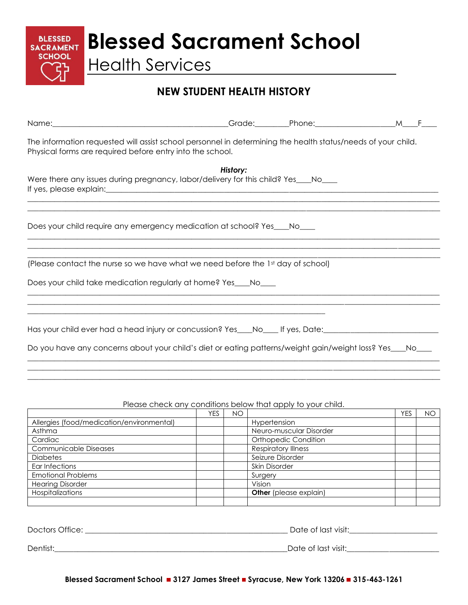**BLESSED** Blessed Sacrament School

Health Services

## **NEW STUDENT HEALTH HISTORY**

| Name: Mame. Manual Manual Manual Manual Manual Manual Manual Manual Manual Manual Manual Manual Manual Manual                                                             |          |  |
|---------------------------------------------------------------------------------------------------------------------------------------------------------------------------|----------|--|
| The information requested will assist school personnel in determining the health status/needs of your child.<br>Physical forms are required before entry into the school. |          |  |
| Were there any issues during pregnancy, labor/delivery for this child? Yes___No___                                                                                        | History: |  |
| Does your child require any emergency medication at school? Yes___No___                                                                                                   |          |  |
| (Please contact the nurse so we have what we need before the 1st day of school)                                                                                           |          |  |
| Does your child take medication regularly at home? Yes ___ No___                                                                                                          |          |  |
| Has your child ever had a head injury or concussion? Yes___No____ If yes, Date:________                                                                                   |          |  |
| Do you have any concerns about your child's diet or eating patterns/weight gain/weight loss? Yes___No____                                                                 |          |  |

## Please check any conditions below that apply to your child.

 $\_$  ,  $\_$  ,  $\_$  ,  $\_$  ,  $\_$  ,  $\_$  ,  $\_$  ,  $\_$  ,  $\_$  ,  $\_$  ,  $\_$  ,  $\_$  ,  $\_$  ,  $\_$  ,  $\_$  ,  $\_$  ,  $\_$  ,  $\_$  ,  $\_$  ,  $\_$  ,  $\_$  ,  $\_$  ,  $\_$  ,  $\_$  ,  $\_$  ,  $\_$  ,  $\_$  ,  $\_$  ,  $\_$  ,  $\_$  ,  $\_$  ,  $\_$  ,  $\_$  ,  $\_$  ,  $\_$  ,  $\_$  ,  $\_$  ,

|                                           | <b>YES</b> | NΟ |                               | <b>YES</b> | NO |
|-------------------------------------------|------------|----|-------------------------------|------------|----|
| Allergies (food/medication/environmental) |            |    | Hypertension                  |            |    |
| Asthma                                    |            |    | Neuro-muscular Disorder       |            |    |
| Cardiac                                   |            |    | Orthopedic Condition          |            |    |
| <b>Communicable Diseases</b>              |            |    | <b>Respiratory Illness</b>    |            |    |
| <b>Diabetes</b>                           |            |    | Seizure Disorder              |            |    |
| Ear Infections                            |            |    | Skin Disorder                 |            |    |
| <b>Emotional Problems</b>                 |            |    | Surgery                       |            |    |
| <b>Hearing Disorder</b>                   |            |    | Vision                        |            |    |
| Hospitalizations                          |            |    | <b>Other</b> (please explain) |            |    |
|                                           |            |    |                               |            |    |

Doctors Office: \_\_\_\_\_\_\_\_\_\_\_\_\_\_\_\_\_\_\_\_\_\_\_\_\_\_\_\_\_\_\_\_\_\_\_\_\_\_\_\_\_\_\_\_\_\_\_\_\_\_\_\_\_ Date of last visit:\_\_\_\_\_\_\_\_\_\_\_\_\_\_\_\_\_\_\_\_\_\_\_ Dentist:\_\_\_\_\_\_\_\_\_\_\_\_\_\_\_\_\_\_\_\_\_\_\_\_\_\_\_\_\_\_\_\_\_\_\_\_\_\_\_\_\_\_\_\_\_\_\_\_\_\_\_\_\_\_\_\_\_\_\_\_\_Date of last visit:\_\_\_\_\_\_\_\_\_\_\_\_\_\_\_\_\_\_\_\_\_\_\_\_